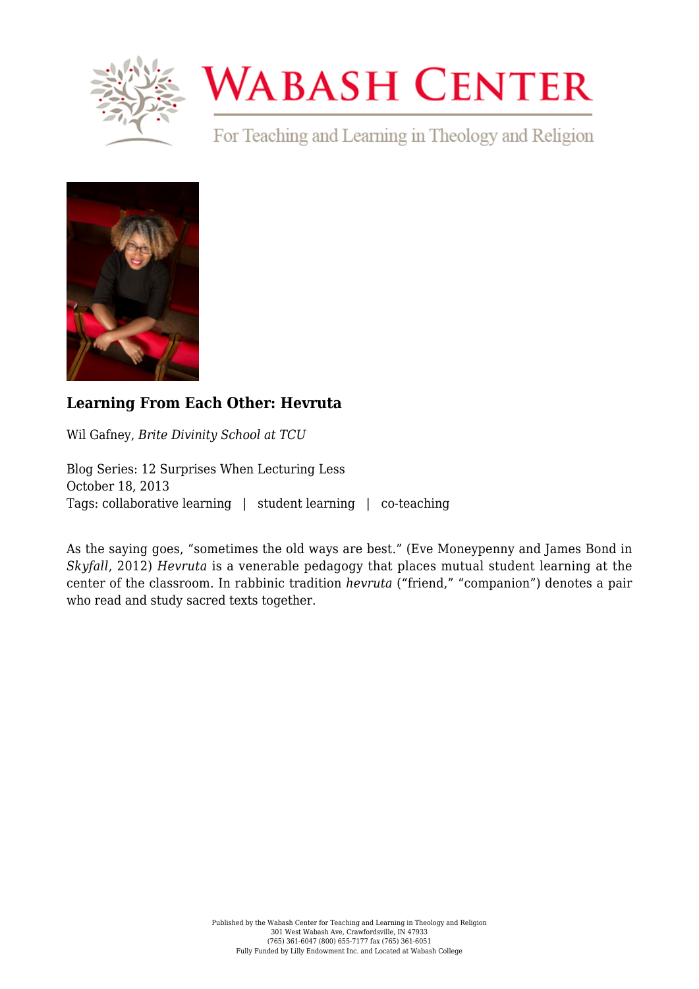

## **WABASH CENTER**

For Teaching and Learning in Theology and Religion



## **[Learning From Each Other: Hevruta](https://www.wabashcenter.wabash.edu/2013/10/learning-from-each-other-hevruta/)**

Wil Gafney, *Brite Divinity School at TCU*

Blog Series: 12 Surprises When Lecturing Less October 18, 2013 Tags: collaborative learning | student learning | co-teaching

As the saying goes, "sometimes the old ways are best." (Eve Moneypenny and James Bond in *Skyfall*, 2012) *Hevruta* is a venerable pedagogy that places mutual student learning at the center of the classroom. In rabbinic tradition *hevruta* ("friend," "companion") denotes a pair who read and study sacred texts together.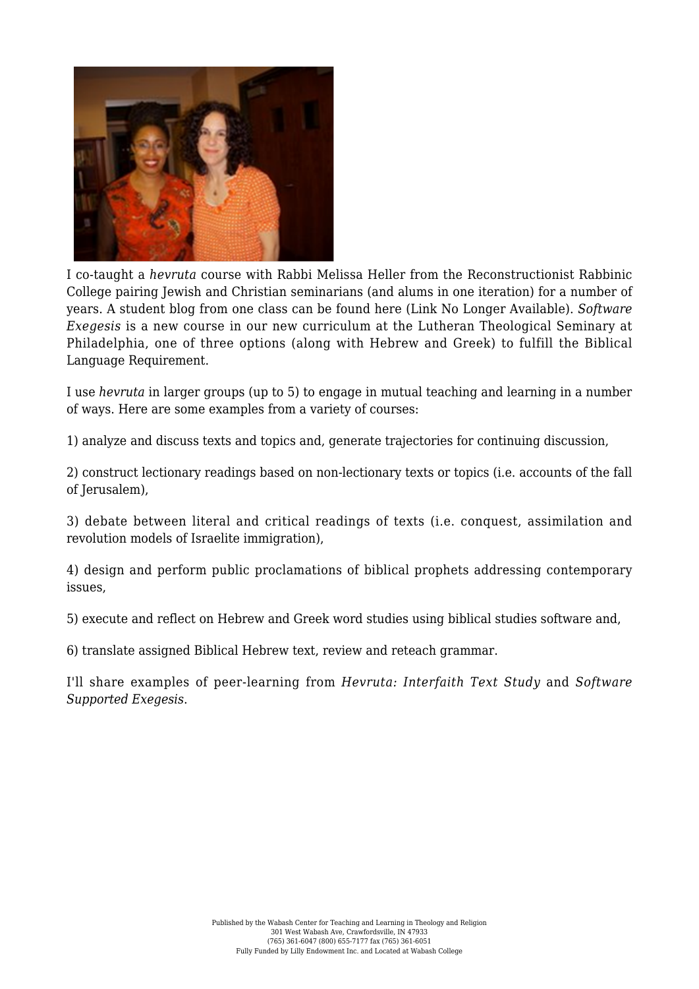

I co-taught a *hevruta* course with Rabbi Melissa Heller from the [Reconstructionist Rabbinic](http://www.rrc.edu/) [College](http://www.rrc.edu/) pairing Jewish and Christian seminarians (and alums in one iteration) for a number of years. A student blog from one class can be found here (Link No Longer Available). *Software Exegesis* is a new course in our new curriculum at the Lutheran Theological Seminary at Philadelphia, one of three options (along with Hebrew and Greek) to fulfill the Biblical Language Requirement.

I use *hevruta* in larger groups (up to 5) to engage in mutual teaching and learning in a number of ways. Here are some examples from a variety of courses:

1) analyze and discuss texts and topics and, generate trajectories for continuing discussion,

2) construct lectionary readings based on non-lectionary texts or topics (i.e. accounts of the fall of Jerusalem),

3) debate between literal and critical readings of texts (i.e. conquest, assimilation and revolution models of Israelite immigration),

4) design and perform public proclamations of biblical prophets addressing contemporary issues,

5) execute and reflect on Hebrew and Greek word studies using biblical studies software and,

6) translate assigned Biblical Hebrew text, review and reteach grammar.

I'll share examples of peer-learning from *Hevruta: Interfaith Text Study* and *Software Supported Exegesis*.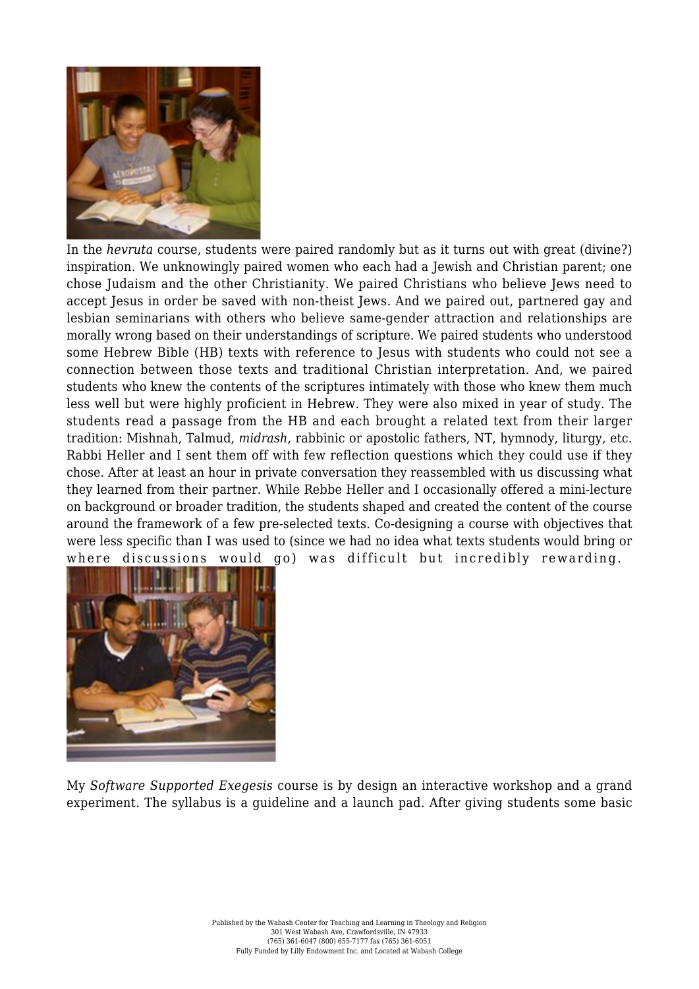

In the *hevruta* course, students were paired randomly but as it turns out with great (divine?) inspiration. We unknowingly paired women who each had a Jewish and Christian parent; one chose Judaism and the other Christianity. We paired Christians who believe Jews need to accept Jesus in order be saved with non-theist Jews. And we paired out, partnered gay and lesbian seminarians with others who believe same-gender attraction and relationships are morally wrong based on their understandings of scripture. We paired students who understood some Hebrew Bible (HB) texts with reference to Jesus with students who could not see a connection between those texts and traditional Christian interpretation. And, we paired students who knew the contents of the scriptures intimately with those who knew them much less well but were highly proficient in Hebrew. They were also mixed in year of study. The students read a passage from the HB and each brought a related text from their larger tradition: Mishnah, Talmud, *midrash*, rabbinic or apostolic fathers, NT, hymnody, liturgy, etc. Rabbi Heller and I sent them off with few reflection questions which they could use if they chose. After at least an hour in private conversation they reassembled with us discussing what they learned from their partner. While Rebbe Heller and I occasionally offered a mini-lecture on background or broader tradition, the students shaped and created the content of the course around the framework of a few pre-selected texts. Co-designing a course with objectives that were less specific than I was used to (since we had no idea what texts students would bring or where discussions would go) was difficult but incredibly rewarding.



My *Software Supported Exegesis* course is by design an interactive workshop and a grand experiment. The syllabus is a guideline and a launch pad. After giving students some basic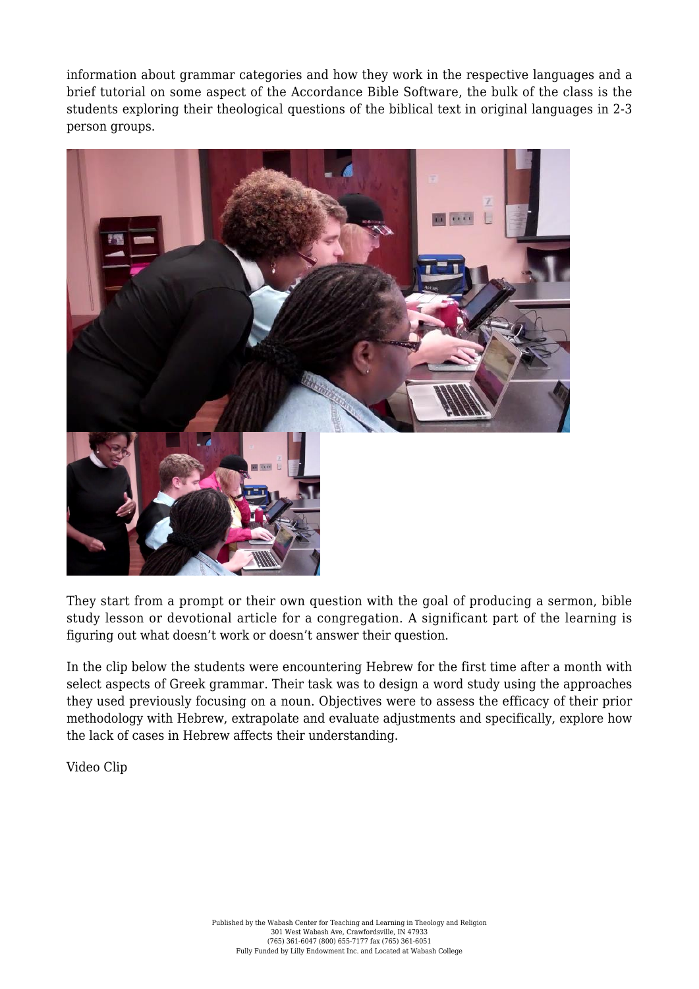information about grammar categories and how they work in the respective languages and a brief tutorial on some aspect of the [Accordance Bible Software,](http://www.accordancebible.com/) the bulk of the class is the students exploring their theological questions of the biblical text in original languages in 2-3 person groups.



They start from a prompt or their own question with the goal of producing a sermon, bible study lesson or devotional article for a congregation. A significant part of the learning is figuring out what doesn't work or doesn't answer their question.

In the clip below the students were encountering Hebrew for the first time after a month with select aspects of Greek grammar. Their task was to design a word study using the approaches they used previously focusing on a noun. Objectives were to assess the efficacy of their prior methodology with Hebrew, extrapolate and evaluate adjustments and specifically, explore how the lack of cases in Hebrew affects their understanding.

[Video Clip](https://www.wabashcenter.wabash.edu/wp-content/uploads/2017/06/group-1-law.mp4)